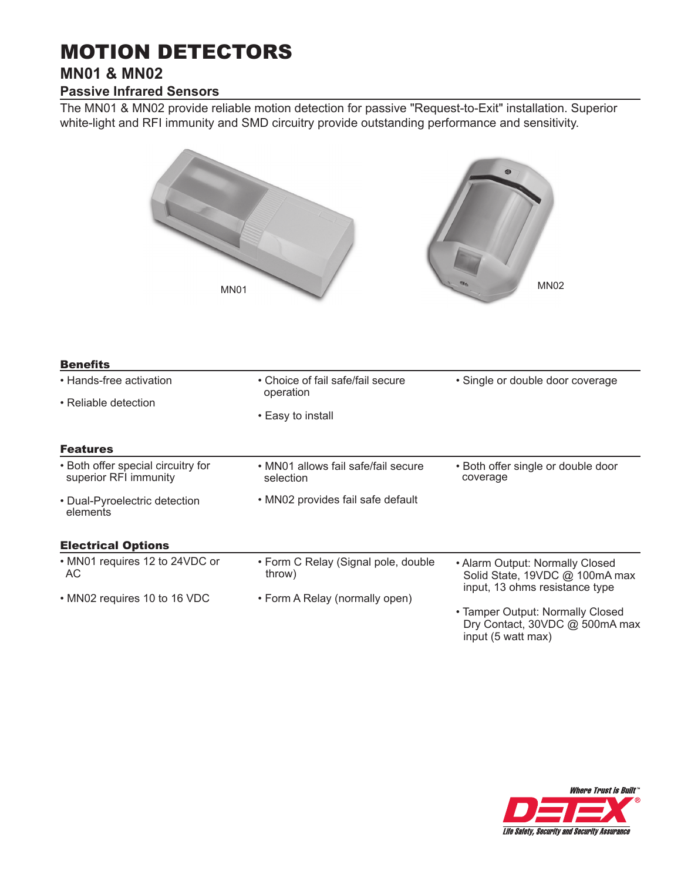# MOTION DETECTORS

# **MN01 & MN02**

## **Passive Infrared Sensors**

The MN01 & MN02 provide reliable motion detection for passive "Request-to-Exit" installation. Superior white-light and RFI immunity and SMD circuitry provide outstanding performance and sensitivity.



| <b>Benefits</b>                                             |                                                  |                                                                                                     |
|-------------------------------------------------------------|--------------------------------------------------|-----------------------------------------------------------------------------------------------------|
| • Hands-free activation                                     | • Choice of fail safe/fail secure<br>operation   | • Single or double door coverage                                                                    |
| • Reliable detection                                        |                                                  |                                                                                                     |
|                                                             | • Easy to install                                |                                                                                                     |
| <b>Features</b>                                             |                                                  |                                                                                                     |
| • Both offer special circuitry for<br>superior RFI immunity | • MN01 allows fail safe/fail secure<br>selection | • Both offer single or double door<br>coverage                                                      |
| • Dual-Pyroelectric detection<br>elements                   | • MN02 provides fail safe default                |                                                                                                     |
| <b>Electrical Options</b>                                   |                                                  |                                                                                                     |
| • MN01 requires 12 to 24VDC or<br>АC                        | • Form C Relay (Signal pole, double<br>throw)    | • Alarm Output: Normally Closed<br>Solid State, 19VDC @ 100mA max<br>input, 13 ohms resistance type |
| • MN02 requires 10 to 16 VDC                                | • Form A Relay (normally open)                   |                                                                                                     |
|                                                             |                                                  | • Tamper Output: Normally Closed<br>Dry Contact, 30VDC @ 500mA max                                  |



input (5 watt max)